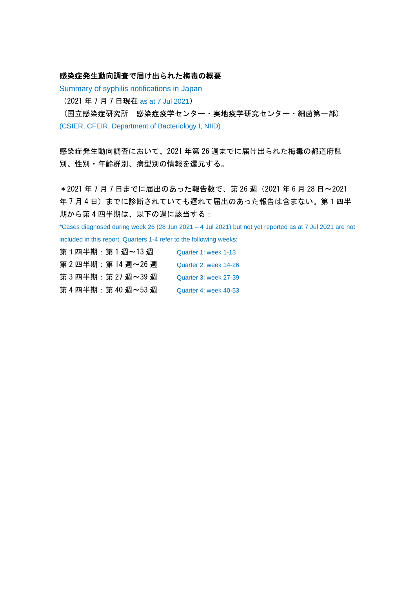#### 感染症発生動向調査で届け出られた梅毒の概要

Summary of syphilis notifications in Japan

(2021 年 7 月 7 日現在 as at 7 Jul 2021)

 (国立感染症研究所 感染症疫学センター・実地疫学研究センター・細菌第一部) (CSIER, CFEIR, Department of Bacteriology I, NIID)

感染症発生動向調査において、2021 年第 26 週までに届け出られた梅毒の都道府県 別、性別・年齢群別、病型別の情報を還元する。

\*2021 年 7 月 7 日までに届出のあった報告数で、第 26 週(2021 年 6 月 28 日~2021 年7月4日)までに診断されていても遅れて届出のあった報告は含まない。第1四半 期から第 4 四半期は、以下の週に該当する:

\*Cases diagnosed during week 26 (28 Jun 2021 – 4 Jul 2021) but not yet reported as at 7 Jul 2021 are not included in this report. Quarters 1-4 refer to the following weeks:

| 第1四半期:第1週~13 週      | Quarter 1: week 1-13  |
|---------------------|-----------------------|
| 第 2 四半期:第 14 週~26 週 | Quarter 2: week 14-26 |
| 第 3 四半期:第 27 週~39 週 | Quarter 3: week 27-39 |
| 第 4 四半期:第 40 週~53 週 | Quarter 4: week 40-53 |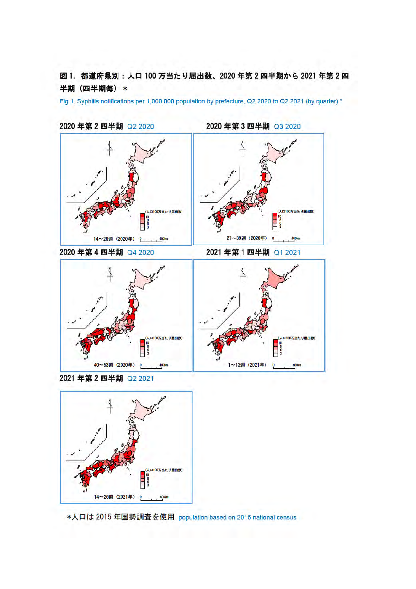図1. 都道府県別:人口100万当たり届出数、2020年第2四半期から2021年第2四 半期 (四半期每) \*

Fig 1. Syphilis notifications per 1,000,000 population by prefecture, Q2 2020 to Q2 2021 (by quarter) \*



2020年第2四半期 Q2 2020

2020年第3四半期 Q3 2020

1~13週 (2021年)

 $\ddot{\mathbf{Q}}$ 

400kg

2021 年第2 四半期 Q2 2021



40~53週 (2020年) 0 400km

\*人口は 2015 年国勢調査を使用 population based on 2015 national census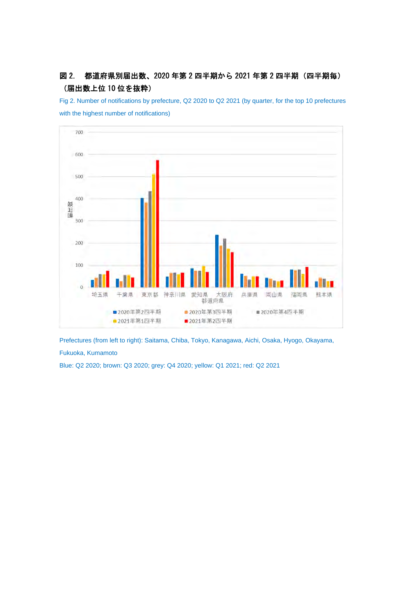# 図 2. 都道府県別届出数、2020 年第 2 四半期から 2021 年第 2 四半期 (四半期毎) (届出数上位 10 位を抜粋)

Fig 2. Number of notifications by prefecture, Q2 2020 to Q2 2021 (by quarter, for the top 10 prefectures with the highest number of notifications)



Prefectures (from left to right): Saitama, Chiba, Tokyo, Kanagawa, Aichi, Osaka, Hyogo, Okayama, Fukuoka, Kumamoto

Blue: Q2 2020; brown: Q3 2020; grey: Q4 2020; yellow: Q1 2021; red: Q2 2021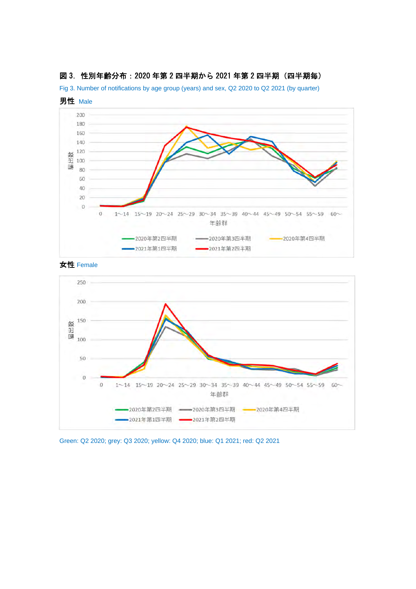

#### 図 3. 性別年齢分布: 2020 年第 2 四半期から 2021 年第 2 四半期 (四半期毎)

Fig 3. Number of notifications by age group (years) and sex, Q2 2020 to Q2 2021 (by quarter)

女性 Female



Green: Q2 2020; grey: Q3 2020; yellow: Q4 2020; blue: Q1 2021; red: Q2 2021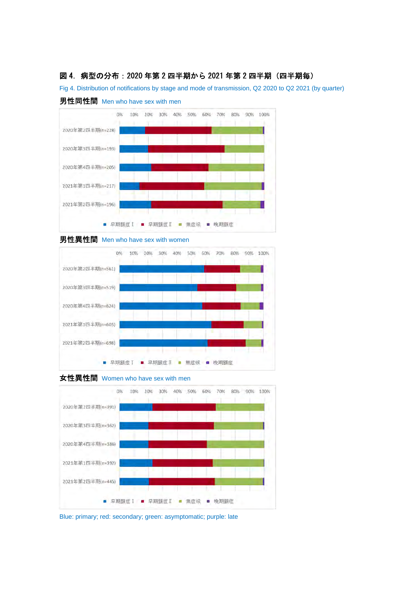#### 図 4. 病型の分布: 2020 年第 2 四半期から 2021 年第 2 四半期 (四半期毎)

Fig 4. Distribution of notifications by stage and mode of transmission, Q2 2020 to Q2 2021 (by quarter)













Blue: primary; red: secondary; green: asymptomatic; purple: late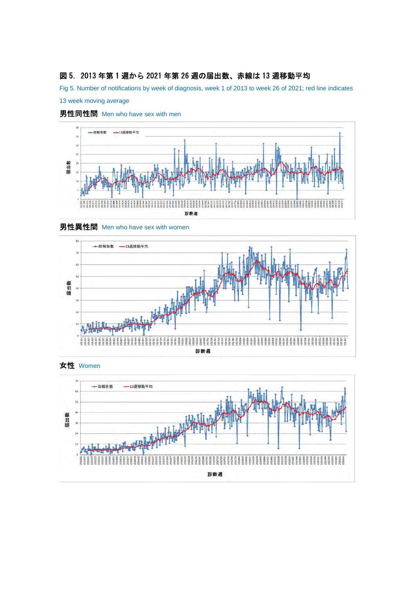## 図 5.2013 年第 1 週から 2021 年第 26 週の届出数、赤線は 13 週移動平均

Fig 5. Number of notifications by week of diagnosis, week 1 of 2013 to week 26 of 2021; red line indicates





## 男性同性間 Men who have sex with men







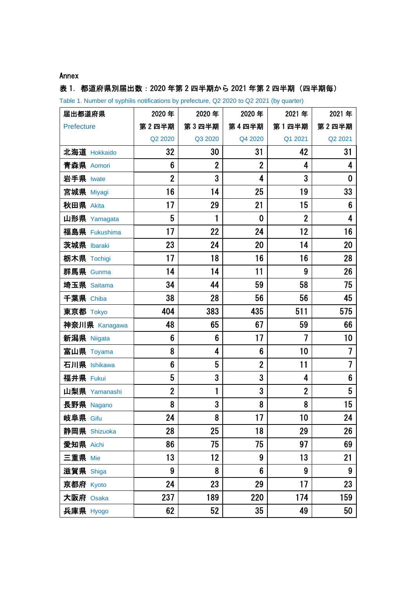### Annex

## 表 1. 都道府県別届出数: 2020 年第 2 四半期から 2021 年第 2 四半期 (四半期毎)

Table 1. Number of syphilis notifications by prefecture, Q2 2020 to Q2 2021 (by quarter)

| 届出都道府県          | 2020年          | 2020年          | 2020年          | 2021年                   | 2021年                    |
|-----------------|----------------|----------------|----------------|-------------------------|--------------------------|
| Prefecture      | 第2四半期          | 第3四半期          | 第4四半期          | 第1四半期                   | 第2四半期                    |
|                 | Q2 2020        | Q3 2020        | Q4 2020        | Q1 2021                 | Q2 2021                  |
| 北海道 Hokkaido    | 32             | 30             | 31             | 42                      | 31                       |
| 青森県 Aomori      | 6              | $\overline{2}$ | $\overline{2}$ | 4                       | 4                        |
| 岩手県 Iwate       | $\overline{2}$ | 3              | 4              | 3                       | 0                        |
| 宮城県 Miyagi      | 16             | 14             | 25             | 19                      | 33                       |
| 秋田県 Akita       | 17             | 29             | 21             | 15                      | 6                        |
| 山形県 Yamagata    | 5              | 1              | $\bf{0}$       | $\overline{2}$          | 4                        |
| 福島県 Fukushima   | 17             | 22             | 24             | 12                      | 16                       |
| 茨城県 Ibaraki     | 23             | 24             | 20             | 14                      | 20                       |
| 栃木県 Tochigi     | 17             | 18             | 16             | 16                      | 28                       |
| 群馬県 Gunma       | 14             | 14             | 11             | 9                       | 26                       |
| 埼玉県 Saitama     | 34             | 44             | 59             | 58                      | 75                       |
| 千葉県 Chiba       | 38             | 28             | 56             | 56                      | 45                       |
| 東京都 Tokyo       | 404            | 383            | 435            | 511                     | 575                      |
| 神奈川県 Kanagawa   | 48             | 65             | 67             | 59                      | 66                       |
| 新潟県 Niigata     | 6              | 6              | 17             | $\overline{\mathbf{z}}$ | 10                       |
| 富山県 Toyama      | 8              | 4              | 6              | 10                      | 7                        |
| 石川県 Ishikawa    | 6              | 5              | $\overline{2}$ | 11                      | $\overline{\mathcal{L}}$ |
| 福井県 Fukui       | 5              | 3              | 3              | 4                       | 6                        |
| 山梨県 Yamanashi   | $\overline{2}$ | 1              | 3              | $\overline{2}$          | 5                        |
| 長野県 Nagano      | 8              | 3              | 8              | 8                       | 15                       |
| <b>岐阜県</b> Gifu | 24             | 8              | 17             | 10                      | 24                       |
| 静岡県 Shizuoka    | 28             | 25             | 18             | 29                      | 26                       |
| 愛知県 Aichi       | 86             | 75             | 75             | 97                      | 69                       |
| 三重県 Mie         | 13             | 12             | 9              | 13                      | 21                       |
| 滋賀県 Shiga       | 9              | 8              | $6\phantom{1}$ | 9                       | 9                        |
| 京都府 Kyoto       | 24             | 23             | 29             | 17                      | 23                       |
| 大阪府 Osaka       | 237            | 189            | 220            | 174                     | 159                      |
| 兵庫県 Hyogo       | 62             | 52             | 35             | 49                      | 50                       |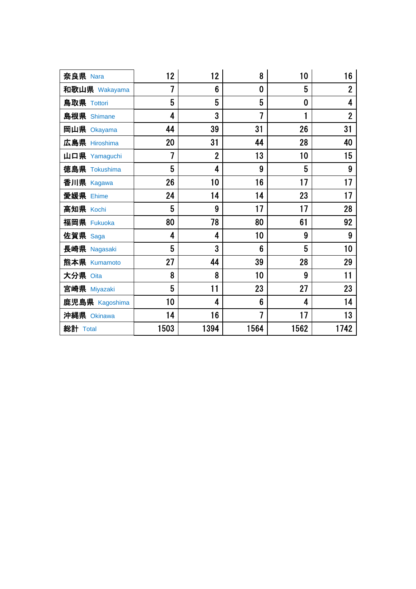| 奈良県 Nara       | 12                       | 12             | 8              | 10           | 16             |
|----------------|--------------------------|----------------|----------------|--------------|----------------|
| 和歌山県 Wakayama  | $\overline{\mathcal{L}}$ | 6              | $\bf{0}$       | 5            | $\overline{2}$ |
| 鳥取県 Tottori    | 5                        | 5              | 5              | $\bf{0}$     | 4              |
| 島根県 Shimane    | 4                        | 3              | $\overline{1}$ | $\mathbf{1}$ | $\overline{2}$ |
| 岡山県 Okayama    | 44                       | 39             | 31             | 26           | 31             |
| 広島県 Hiroshima  | 20                       | 31             | 44             | 28           | 40             |
| 山口県 Yamaguchi  | $\overline{1}$           | $\overline{2}$ | 13             | 10           | 15             |
| 徳島県 Tokushima  | 5                        | 4              | 9              | 5            | 9              |
| 香川県 Kagawa     | 26                       | 10             | 16             | 17           | 17             |
| 愛媛県 Ehime      | 24                       | 14             | 14             | 23           | 17             |
| 高知県 Kochi      | 5                        | 9              | 17             | 17           | 28             |
| 福岡県 Fukuoka    | 80                       | 78             | 80             | 61           | 92             |
| 佐賀県 Saga       | 4                        | 4              | 10             | 9            | 9              |
| 長崎県 Nagasaki   | 5                        | 3              | 6              | 5            | 10             |
| 熊本県 Kumamoto   | 27                       | 44             | 39             | 28           | 29             |
| 大分県 Oita       | 8                        | 8              | 10             | 9            | 11             |
| 宮崎県 Miyazaki   | 5                        | 11             | 23             | 27           | 23             |
| 鹿児島県 Kagoshima | 10                       | 4              | $6\phantom{1}$ | 4            | 14             |
| 沖縄県 Okinawa    | 14                       | 16             | $\overline{1}$ | 17           | 13             |
| 総計 Total       | 1503                     | 1394           | 1564           | 1562         | 1742           |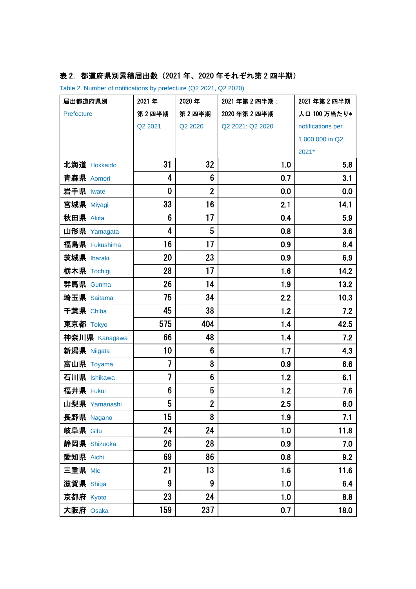# 表 2. 都道府県別累積届出数 (2021 年、2020 年それぞれ第 2 四半期)

Table 2. Number of notifications by prefecture (Q2 2021, Q2 2020)

| 届出都道府県別       | 2021年                    | 2020年          | 2021年第2四半期:      | 2021 年第2四半期       |
|---------------|--------------------------|----------------|------------------|-------------------|
| Prefecture    | 第2四半期                    | 第2四半期          | 2020年第2四半期       | 人口 100 万当たり*      |
|               | Q2 2021                  | Q2 2020        | Q2 2021: Q2 2020 | notifications per |
|               |                          |                |                  | 1,000,000 in Q2   |
|               |                          |                |                  | 2021*             |
| 北海道 Hokkaido  | 31                       | 32             | 1.0              | 5.8               |
| 青森県 Aomori    | 4                        | 6              | 0.7              | 3.1               |
| 岩手県 Iwate     | $\mathbf 0$              | $\overline{2}$ | 0.0              | 0.0               |
| 宮城県 Miyagi    | 33                       | 16             | 2.1              | 14.1              |
| 秋田県 Akita     | 6                        | 17             | 0.4              | 5.9               |
| 山形県 Yamagata  | 4                        | 5              | 0.8              | 3.6               |
| 福島県 Fukushima | 16                       | 17             | 0.9              | 8.4               |
| 茨城県 Ibaraki   | 20                       | 23             | 0.9              | 6.9               |
| 栃木県 Tochigi   | 28                       | 17             | 1.6              | 14.2              |
| 群馬県 Gunma     | 26                       | 14             | 1.9              | 13.2              |
| 埼玉県 Saitama   | 75                       | 34             | 2.2              | 10.3              |
| 千葉県 Chiba     | 45                       | 38             | 1.2              | 7.2               |
| 東京都 Tokyo     | 575                      | 404            | 1.4              | 42.5              |
| 神奈川県 Kanagawa | 66                       | 48             | 1.4              | 7.2               |
| 新潟県 Niigata   | 10                       | 6              | 1.7              | 4.3               |
| 富山県 Toyama    | 7                        | 8              | 0.9              | 6.6               |
| 石川県 Ishikawa  | $\overline{\mathcal{I}}$ | 6              | 1.2              | 6.1               |
| 福井県 Fukui     | $6\phantom{1}$           | 5              | 1.2              | 7.6               |
| 山梨県 Yamanashi | 5                        | $\overline{2}$ | 2.5              | 6.0               |
| 長野県 Nagano    | 15                       | 8              | 1.9              | 7.1               |
| 岐阜県 Gifu      | 24                       | 24             | 1.0              | 11.8              |
| 静岡県 Shizuoka  | 26                       | 28             | 0.9              | 7.0               |
| 愛知県 Aichi     | 69                       | 86             | 0.8              | 9.2               |
| 三重県 Mie       | 21                       | 13             | 1.6              | 11.6              |
| 滋賀県 Shiga     | 9                        | 9              | 1.0              | 6.4               |
| 京都府 Kyoto     | 23                       | 24             | 1.0              | 8.8               |
| 大阪府 Osaka     | 159                      | 237            | 0.7              | 18.0              |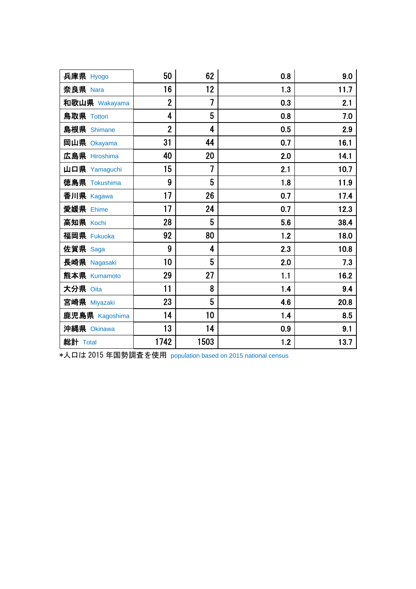| 兵庫県 Hyogo      | 50             | 62   | 0.8 | 9.0  |
|----------------|----------------|------|-----|------|
| 奈良県 Nara       | 16             | 12   | 1.3 | 11.7 |
| 和歌山県 Wakayama  | $\overline{2}$ | 7    | 0.3 | 2.1  |
| 鳥取県 Tottori    | 4              | 5    | 0.8 | 7.0  |
| 島根県 Shimane    | $\overline{2}$ | 4    | 0.5 | 2.9  |
| 岡山県 Okayama    | 31             | 44   | 0.7 | 16.1 |
| 広島県 Hiroshima  | 40             | 20   | 2.0 | 14.1 |
| 山口県 Yamaguchi  | 15             | 7    | 2.1 | 10.7 |
| 徳島県 Tokushima  | 9              | 5    | 1.8 | 11.9 |
| 香川県 Kagawa     | 17             | 26   | 0.7 | 17.4 |
| 愛媛県 Ehime      | 17             | 24   | 0.7 | 12.3 |
| 高知県 Kochi      | 28             | 5    | 5.6 | 38.4 |
| 福岡県 Fukuoka    | 92             | 80   | 1.2 | 18.0 |
| 佐賀県 Saga       | 9              | 4    | 2.3 | 10.8 |
| 長崎県 Nagasaki   | 10             | 5    | 2.0 | 7.3  |
| 熊本県 Kumamoto   | 29             | 27   | 1.1 | 16.2 |
| 大分県 Oita       | 11             | 8    | 1.4 | 9.4  |
| 宮崎県 Miyazaki   | 23             | 5    | 4.6 | 20.8 |
| 鹿児島県 Kagoshima | 14             | 10   | 1.4 | 8.5  |
| 沖縄県 Okinawa    | 13             | 14   | 0.9 | 9.1  |
| 総計 Total       | 1742           | 1503 | 1.2 | 13.7 |

\*人口は 2015 年国勢調査を使用 population based on 2015 national census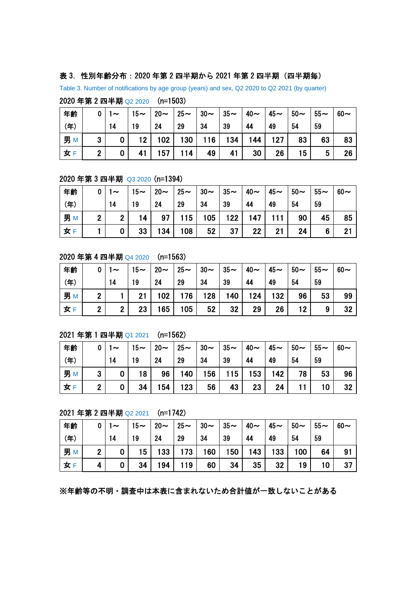#### 表 3.性別年齢分布:2020 年第 2 四半期から 2021 年第 2 四半期(四半期毎)

Table 3. Number of notifications by age group (years) and sex, Q2 2020 to Q2 2021 (by quarter)

2020 年第 2 四半期 Q2 2020 (n=1503)

| 年齢     | 0              | $\sim$ | $15-$ | $20 \sim$ | $25 \sim 30$ |     | $\vert 35$ ~ | $\vert 40 \sim$ | $45\sim$ | $150 -$         | $55-$ | $60\sim$ |
|--------|----------------|--------|-------|-----------|--------------|-----|--------------|-----------------|----------|-----------------|-------|----------|
| (年)    |                | 14     | 19    | 24        | 29           | 34  | 39           | 44              | 49       | 54              | 59    |          |
| 男<br>M | 3              |        | 12 I  | 102       | 130          | 116 | 134          | 144             | 127      | 83              | 63    | 83       |
| 女      | $\overline{2}$ |        |       | 157       | 114          | 49  | 41           | 30              | 26       | 15 <sub>1</sub> | 5     | 26       |

#### 2020 年第 3 四半期 Q3 2020 (n=1394)

| 年齢     | 0              | $\sim$       | $15-$ | $20 \sim$ 1 | $\vert$ 25 $\thicksim$ $\vert$ 30 $\thicksim$ $\vert$ |     | $35-$ | $40\sim$ | $45\sim$ | $50-$ | $55-$           | $60-$ |
|--------|----------------|--------------|-------|-------------|-------------------------------------------------------|-----|-------|----------|----------|-------|-----------------|-------|
| (年)    |                | 14           | 19    | 24          | 29                                                    | 34  | 39    | 44       | 49       | 54    | 59              |       |
| 男<br>M | $\overline{2}$ | $\mathbf{r}$ | 14    | 97          | 115                                                   | 105 | 122   | 147      | 111      | 90    | 45              | 85    |
| 女      |                |              | 33    | 134         | 108                                                   | 52  | 37    | 22       | 21       | 24    | $6\phantom{1}6$ | 21    |

#### 2020 年第 4 四半期 Q4 2020 (n=1563)

| 年齢     | 0              | $\sim$       | $15-$ | $20 \sim$        | $\vert$ 25~ $\vert$ 30~ $\vert$ 35~ |     |     | $140\sim$ | $45\sim$ | $50\sim$ | $55-$ | $60-$ |
|--------|----------------|--------------|-------|------------------|-------------------------------------|-----|-----|-----------|----------|----------|-------|-------|
| (年)    |                | 14           | 19    | 24               | 29                                  | 34  | 39  | 44        | 49       | 54       | 59    |       |
| 男<br>M | $\overline{2}$ |              | 21    | 102 <sub>1</sub> | 176                                 | 128 | 140 | 124       | 132      | 96       | 53    | 99    |
| 女F     | $\overline{2}$ | $\mathbf{r}$ | 23    | 165              | 105                                 | 52  | 32  | 29        | 26       | 12       | 9     | 32    |

#### 2021 年第 1 四半期 Q1 2021 (n=1562)

| 年齢     | 0                | l $\sim$ | $15-$           | $20 \sim$ |     | $25 \sim$ 30 $\sim$ 35 $\sim$ |     | $\frac{1}{40}$ ~ | $45-$ | $150 -$ | $155-$ | $60\sim$ |
|--------|------------------|----------|-----------------|-----------|-----|-------------------------------|-----|------------------|-------|---------|--------|----------|
| (年)    |                  | 14       | 19              | 24        | 29  | 34                            | 39  | 44               | 49    | 54      | 59     |          |
| 男<br>M | 3                |          | 18 <sup>1</sup> | 96        | 140 | 156                           | 115 | 153              | 142   | 78      | 53     | 96       |
| 女F     | $\boldsymbol{2}$ |          | 34              | 154       | 123 | 56                            | 43  | 23 <sub>1</sub>  | 24    |         | ا 10   | 32       |

2021 年第 2 四半期 Q2 2021 (n=1742)

| 年齢     | 0            | 1 $\sim$ | $15-$           |     | $\vert$ 20 $\sim$ $\vert$ 25 $\sim$ $\vert$ 30 $\sim$ |                 | $\vert 35$ ~    | $\sim$          | $45\sim$         | $150-$           | $55-$ | $60-$ |
|--------|--------------|----------|-----------------|-----|-------------------------------------------------------|-----------------|-----------------|-----------------|------------------|------------------|-------|-------|
| (年)    |              | 14       | 19              | 24  | 29                                                    | 34              | 39              | 44              | 49               | 54               | 59    |       |
| 男<br>M | $\mathbf{r}$ |          | 15 <sub>1</sub> | 133 | 173                                                   | 160             | 150             | 143             | 133 <sup>1</sup> | 100 <sub>1</sub> | 64    | 91    |
| 女F     | 4            |          | 34              | 194 | 119                                                   | 60 <sub>1</sub> | 34 <sup>1</sup> | 35 <sup>1</sup> | 32               | 19               | 10    | 37    |

※年齢等の不明・調査中は本表に含まれないため合計値が一致しないことがある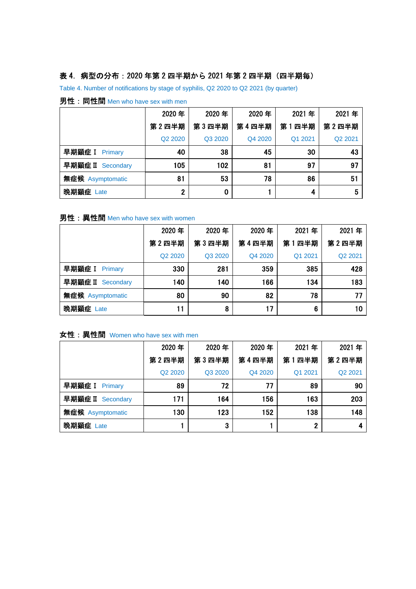# 表 4. 病型の分布: 2020 年第 2 四半期から 2021 年第 2 四半期 (四半期毎)

Table 4. Number of notifications by stage of syphilis, Q2 2020 to Q2 2021 (by quarter)

|                   | 2020年                           | 2020年   | 2020年   | 2021年   | 2021年   |
|-------------------|---------------------------------|---------|---------|---------|---------|
|                   | 第2四半期                           | 第3四半期   | 第4四半期   | 第1四半期   | 第2四半期   |
|                   | Q <sub>2</sub> 20 <sub>20</sub> | Q3 2020 | Q4 2020 | Q1 2021 | Q2 2021 |
| 早期顕症 I Primary    | 40                              | 38      | 45      | 30      | 43      |
| 早期顕症 II Secondary | 105                             | 102     | 81      | 97      | 97      |
| 無症候 Asymptomatic  | 81                              | 53      | 78      | 86      | 51      |
| 晚期顕症 Late         | $\overline{2}$                  | 0       |         | 4       | 5       |

#### 男性: 同性間 Men who have sex with men

### 男性: 異性間 Men who have sex with women

|                   | 2020年                           | 2020年   | 2020年   | 2021年   | 2021年   |
|-------------------|---------------------------------|---------|---------|---------|---------|
|                   | 第2四半期                           | 第3四半期   | 第4四半期   | 第1四半期   | 第2四半期   |
|                   | Q <sub>2</sub> 20 <sub>20</sub> | Q3 2020 | Q4 2020 | Q1 2021 | Q2 2021 |
| 早期顕症 I Primary    | 330                             | 281     | 359     | 385     | 428     |
| 早期顕症 II Secondary | 140                             | 140     | 166     | 134     | 183     |
| 無症候 Asymptomatic  | 80                              | 90      | 82      | 78      | 77      |
| 晚期顕症 Late         | 11                              | 8       | 17      | 6       | 10      |

### 女性: 異性間 Women who have sex with men

|                   | 2020年                           | 2020年   | 2020年   | 2021年   | 2021年   |
|-------------------|---------------------------------|---------|---------|---------|---------|
|                   | 第2四半期                           | 第3四半期   | 第4四半期   | 第1四半期   | 第2四半期   |
|                   | Q <sub>2</sub> 20 <sub>20</sub> | Q3 2020 | Q4 2020 | Q1 2021 | Q2 2021 |
| 早期顕症 I Primary    | 89                              | 72      | 77      | 89      | 90      |
| 早期顕症 II Secondary | 171                             | 164     | 156     | 163     | 203     |
| 無症候 Asymptomatic  | 130                             | 123     | 152     | 138     | 148     |
| 晚期顕症 Late         |                                 | 3       |         | 2       |         |